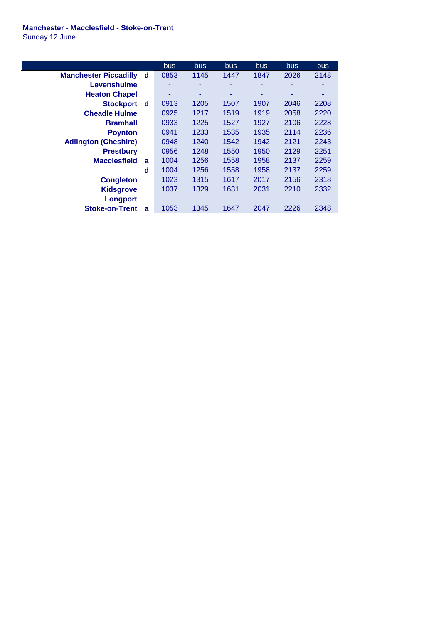## **Manchester - Macclesfield - Stoke-on-Trent**

Sunday 12 June

|                              |   | <b>bus</b> | <b>bus</b> | <b>bus</b> | <b>bus</b> | <b>bus</b> | <b>bus</b> |
|------------------------------|---|------------|------------|------------|------------|------------|------------|
| <b>Manchester Piccadilly</b> | d | 0853       | 1145       | 1447       | 1847       | 2026       | 2148       |
| Levenshulme                  |   |            |            |            |            |            |            |
| <b>Heaton Chapel</b>         |   | ٠          | ٠          | ۰          |            |            |            |
| <b>Stockport</b>             | d | 0913       | 1205       | 1507       | 1907       | 2046       | 2208       |
| <b>Cheadle Hulme</b>         |   | 0925       | 1217       | 1519       | 1919       | 2058       | 2220       |
| <b>Bramhall</b>              |   | 0933       | 1225       | 1527       | 1927       | 2106       | 2228       |
| <b>Poynton</b>               |   | 0941       | 1233       | 1535       | 1935       | 2114       | 2236       |
| <b>Adlington (Cheshire)</b>  |   | 0948       | 1240       | 1542       | 1942       | 2121       | 2243       |
| <b>Prestbury</b>             |   | 0956       | 1248       | 1550       | 1950       | 2129       | 2251       |
| <b>Macclesfield</b>          | a | 1004       | 1256       | 1558       | 1958       | 2137       | 2259       |
|                              | d | 1004       | 1256       | 1558       | 1958       | 2137       | 2259       |
| <b>Congleton</b>             |   | 1023       | 1315       | 1617       | 2017       | 2156       | 2318       |
| <b>Kidsgrove</b>             |   | 1037       | 1329       | 1631       | 2031       | 2210       | 2332       |
| Longport                     |   | ۰          |            |            |            |            |            |
| <b>Stoke-on-Trent</b>        | a | 1053       | 1345       | 1647       | 2047       | 2226       | 2348       |